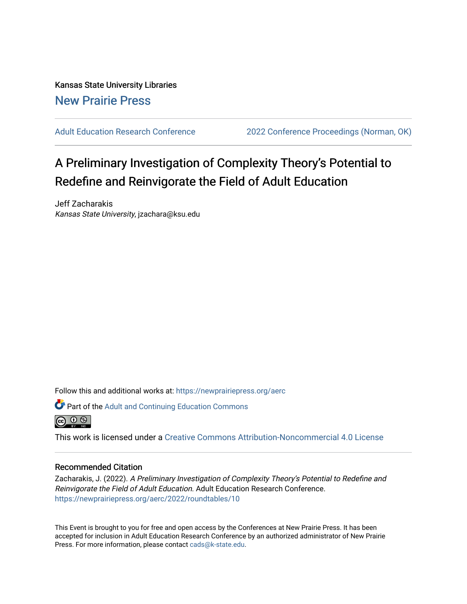Kansas State University Libraries [New Prairie Press](https://newprairiepress.org/) 

[Adult Education Research Conference](https://newprairiepress.org/aerc) [2022 Conference Proceedings \(Norman, OK\)](https://newprairiepress.org/aerc/2022) 

# A Preliminary Investigation of Complexity Theory's Potential to Redefine and Reinvigorate the Field of Adult Education

Jeff Zacharakis Kansas State University, jzachara@ksu.edu

Follow this and additional works at: [https://newprairiepress.org/aerc](https://newprairiepress.org/aerc?utm_source=newprairiepress.org%2Faerc%2F2022%2Froundtables%2F10&utm_medium=PDF&utm_campaign=PDFCoverPages)

Part of the [Adult and Continuing Education Commons](https://network.bepress.com/hgg/discipline/1375?utm_source=newprairiepress.org%2Faerc%2F2022%2Froundtables%2F10&utm_medium=PDF&utm_campaign=PDFCoverPages) 



This work is licensed under a [Creative Commons Attribution-Noncommercial 4.0 License](https://creativecommons.org/licenses/by-nc/4.0/)

# Recommended Citation

Zacharakis, J. (2022). A Preliminary Investigation of Complexity Theory's Potential to Redefine and Reinvigorate the Field of Adult Education. Adult Education Research Conference. <https://newprairiepress.org/aerc/2022/roundtables/10>

This Event is brought to you for free and open access by the Conferences at New Prairie Press. It has been accepted for inclusion in Adult Education Research Conference by an authorized administrator of New Prairie Press. For more information, please contact [cads@k-state.edu.](mailto:cads@k-state.edu)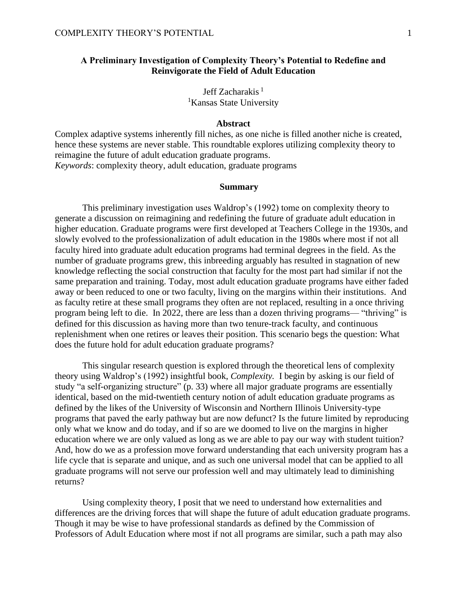## **A Preliminary Investigation of Complexity Theory's Potential to Redefine and Reinvigorate the Field of Adult Education**

Jeff Zacharakis $<sup>1</sup>$ </sup> <sup>1</sup>Kansas State University

#### **Abstract**

Complex adaptive systems inherently fill niches, as one niche is filled another niche is created, hence these systems are never stable. This roundtable explores utilizing complexity theory to reimagine the future of adult education graduate programs. *Keywords*: complexity theory, adult education, graduate programs

### **Summary**

This preliminary investigation uses Waldrop's (1992) tome on complexity theory to generate a discussion on reimagining and redefining the future of graduate adult education in higher education. Graduate programs were first developed at Teachers College in the 1930s, and slowly evolved to the professionalization of adult education in the 1980s where most if not all faculty hired into graduate adult education programs had terminal degrees in the field. As the number of graduate programs grew, this inbreeding arguably has resulted in stagnation of new knowledge reflecting the social construction that faculty for the most part had similar if not the same preparation and training. Today, most adult education graduate programs have either faded away or been reduced to one or two faculty, living on the margins within their institutions. And as faculty retire at these small programs they often are not replaced, resulting in a once thriving program being left to die. In 2022, there are less than a dozen thriving programs— "thriving" is defined for this discussion as having more than two tenure-track faculty, and continuous replenishment when one retires or leaves their position. This scenario begs the question: What does the future hold for adult education graduate programs?

This singular research question is explored through the theoretical lens of complexity theory using Waldrop's (1992) insightful book, *Complexity.* I begin by asking is our field of study "a self-organizing structure" (p. 33) where all major graduate programs are essentially identical, based on the mid-twentieth century notion of adult education graduate programs as defined by the likes of the University of Wisconsin and Northern Illinois University-type programs that paved the early pathway but are now defunct? Is the future limited by reproducing only what we know and do today, and if so are we doomed to live on the margins in higher education where we are only valued as long as we are able to pay our way with student tuition? And, how do we as a profession move forward understanding that each university program has a life cycle that is separate and unique, and as such one universal model that can be applied to all graduate programs will not serve our profession well and may ultimately lead to diminishing returns?

Using complexity theory, I posit that we need to understand how externalities and differences are the driving forces that will shape the future of adult education graduate programs. Though it may be wise to have professional standards as defined by the Commission of Professors of Adult Education where most if not all programs are similar, such a path may also